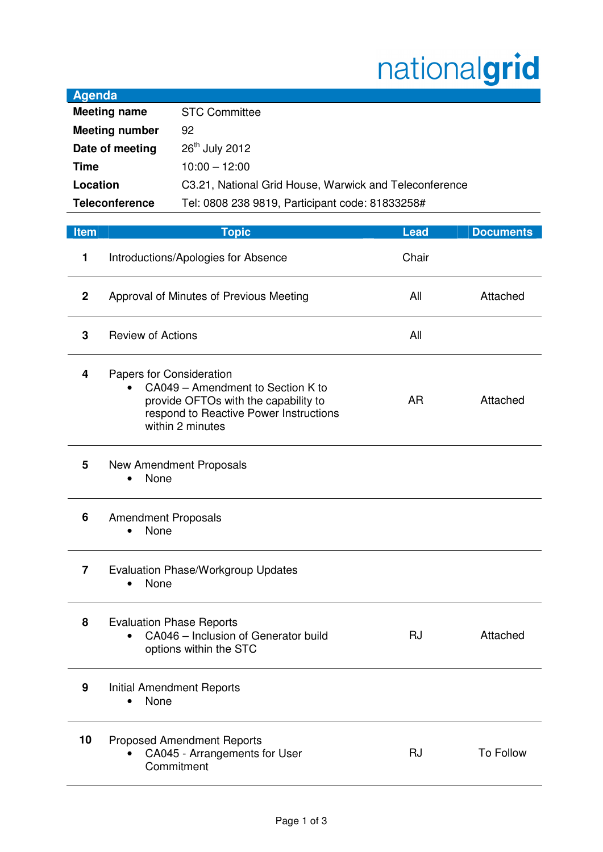## nationalgrid

| Agenda                |                                                        |
|-----------------------|--------------------------------------------------------|
| <b>Meeting name</b>   | <b>STC Committee</b>                                   |
| <b>Meeting number</b> | 92                                                     |
| Date of meeting       | 26 <sup>th</sup> July 2012                             |
| Time                  | $10:00 - 12:00$                                        |
| Location              | C3.21, National Grid House, Warwick and Teleconference |
| <b>Teleconference</b> | Tel: 0808 238 9819, Participant code: 81833258#        |

**Agenda** 

| <b>Item</b>    | <b>Topic</b>                                                                                                                                                        | <b>Lead</b> | <b>Documents</b> |
|----------------|---------------------------------------------------------------------------------------------------------------------------------------------------------------------|-------------|------------------|
| 1              | Introductions/Apologies for Absence                                                                                                                                 | Chair       |                  |
| $\mathbf{2}$   | Approval of Minutes of Previous Meeting                                                                                                                             | All         | Attached         |
| 3              | <b>Review of Actions</b>                                                                                                                                            | All         |                  |
| 4              | Papers for Consideration<br>CA049 - Amendment to Section K to<br>provide OFTOs with the capability to<br>respond to Reactive Power Instructions<br>within 2 minutes | <b>AR</b>   | Attached         |
| 5              | New Amendment Proposals<br>None                                                                                                                                     |             |                  |
| 6              | <b>Amendment Proposals</b><br>None                                                                                                                                  |             |                  |
| $\overline{7}$ | <b>Evaluation Phase/Workgroup Updates</b><br>None                                                                                                                   |             |                  |
| 8              | <b>Evaluation Phase Reports</b><br>CA046 - Inclusion of Generator build<br>$\bullet$<br>options within the STC                                                      | <b>RJ</b>   | Attached         |
| 9              | <b>Initial Amendment Reports</b><br>None<br>$\bullet$                                                                                                               |             |                  |
| 10             | <b>Proposed Amendment Reports</b><br>CA045 - Arrangements for User<br>Commitment                                                                                    | <b>RJ</b>   | <b>To Follow</b> |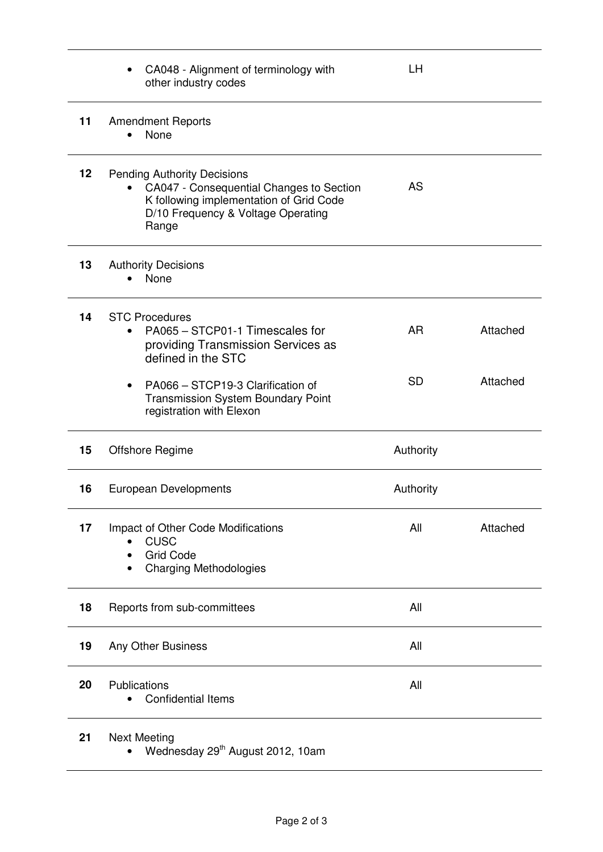|                   | CA048 - Alignment of terminology with<br>other industry codes                                                                                                                         | LН        |          |
|-------------------|---------------------------------------------------------------------------------------------------------------------------------------------------------------------------------------|-----------|----------|
| 11                | <b>Amendment Reports</b><br>None                                                                                                                                                      |           |          |
| $12 \overline{ }$ | <b>Pending Authority Decisions</b><br>CA047 - Consequential Changes to Section<br>$\bullet$<br>K following implementation of Grid Code<br>D/10 Frequency & Voltage Operating<br>Range | <b>AS</b> |          |
| 13                | <b>Authority Decisions</b><br>None                                                                                                                                                    |           |          |
| 14                | <b>STC Procedures</b><br>PA065 - STCP01-1 Timescales for<br>providing Transmission Services as<br>defined in the STC                                                                  | <b>AR</b> | Attached |
|                   | PA066 - STCP19-3 Clarification of<br><b>Transmission System Boundary Point</b><br>registration with Elexon                                                                            | <b>SD</b> | Attached |
| 15                | Offshore Regime                                                                                                                                                                       | Authority |          |
| 16                | European Developments                                                                                                                                                                 | Authority |          |
| 17                | Impact of Other Code Modifications<br><b>CUSC</b><br><b>Grid Code</b><br><b>Charging Methodologies</b><br>٠                                                                           | All       | Attached |
| 18                | Reports from sub-committees                                                                                                                                                           | All       |          |
| 19                | Any Other Business                                                                                                                                                                    | All       |          |
| 20                | Publications<br><b>Confidential Items</b>                                                                                                                                             | All       |          |
| 21                | <b>Next Meeting</b>                                                                                                                                                                   |           |          |

• Wednesday  $29<sup>th</sup>$  August 2012, 10am